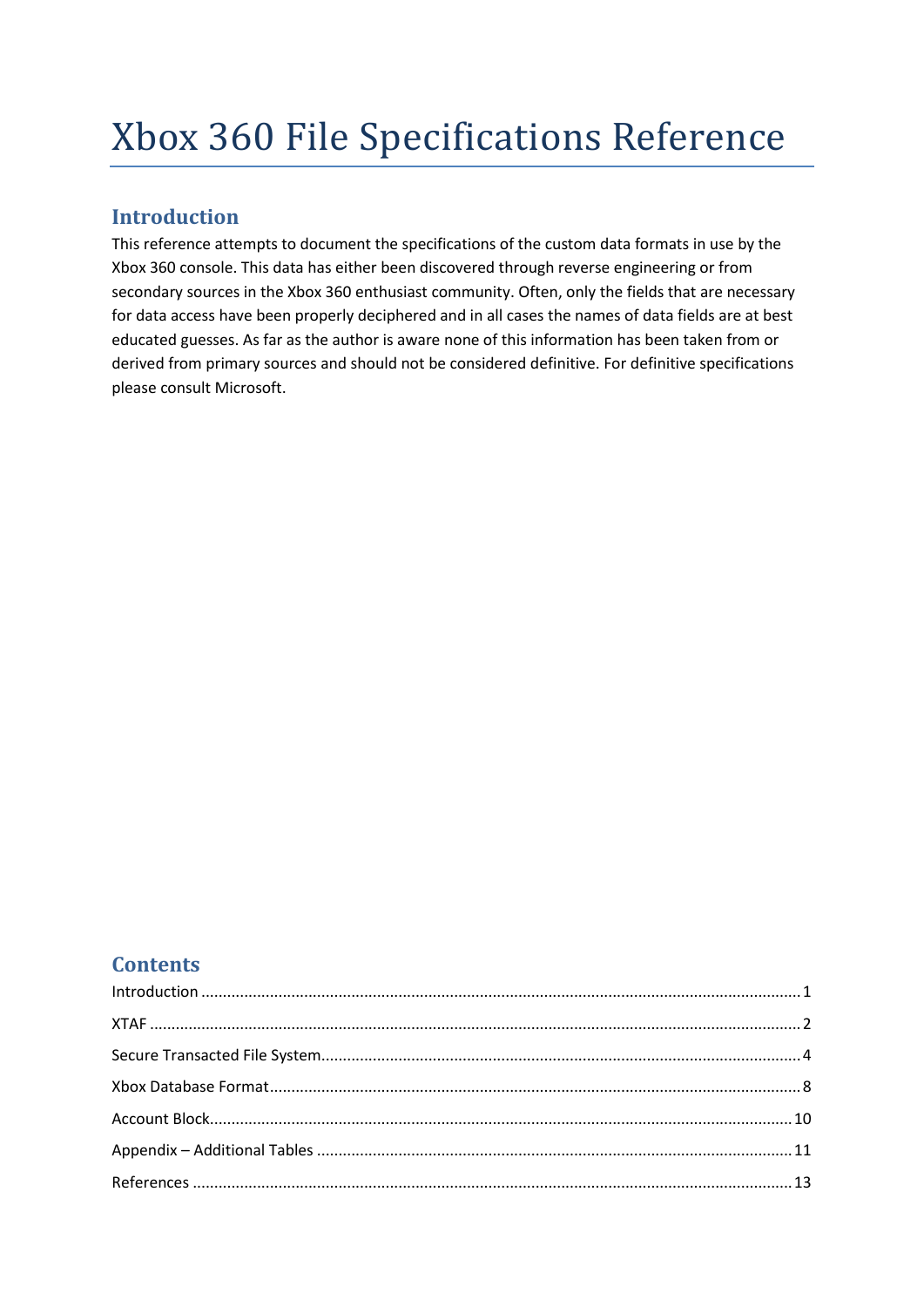# Xbox 360 File Specifications Reference

## <span id="page-0-0"></span>**Introduction**

This reference attempts to document the specifications of the custom data formats in use by the Xbox 360 console. This data has either been discovered through reverse engineering or from secondary sources in the Xbox 360 enthusiast community. Often, only the fields that are necessary for data access have been properly deciphered and in all cases the names of data fields are at best educated guesses. As far as the author is aware none of this information has been taken from or derived from primary sources and should not be considered definitive. For definitive specifications please consult Microsoft.

## **Contents**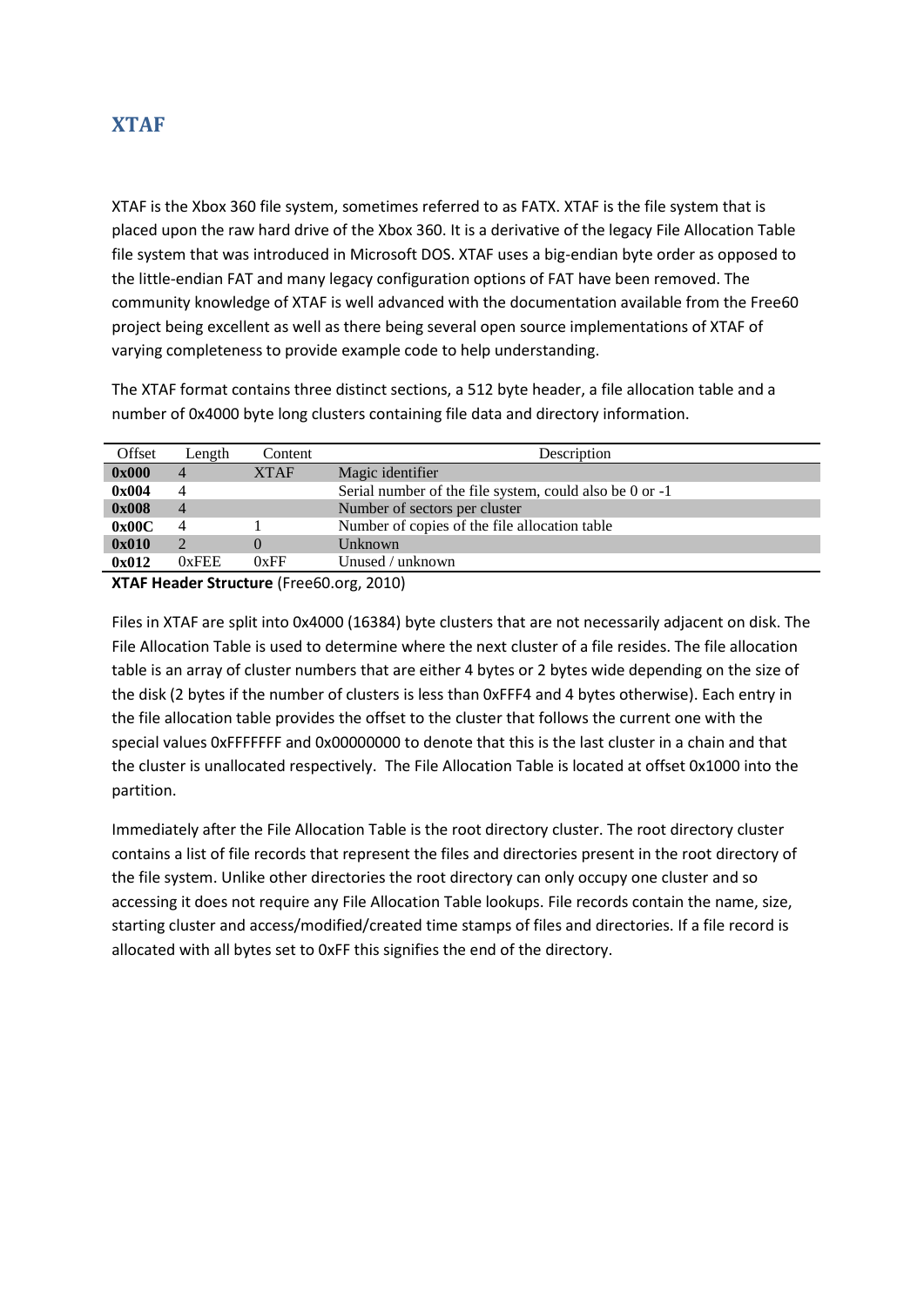## <span id="page-1-0"></span>**XTAF**

XTAF is the Xbox 360 file system, sometimes referred to as FATX. XTAF is the file system that is placed upon the raw hard drive of the Xbox 360. It is a derivative of the legacy File Allocation Table file system that was introduced in Microsoft DOS. XTAF uses a big-endian byte order as opposed to the little-endian FAT and many legacy configuration options of FAT have been removed. The community knowledge of XTAF is well advanced with the documentation available from the Free60 project being excellent as well as there being several open source implementations of XTAF of varying completeness to provide example code to help understanding.

The XTAF format contains three distinct sections, a 512 byte header, a file allocation table and a number of 0x4000 byte long clusters containing file data and directory information.

| Offset | Length | Content     | Description                                             |
|--------|--------|-------------|---------------------------------------------------------|
| 0x000  | 4      | <b>XTAF</b> | Magic identifier                                        |
| 0x004  | 4      |             | Serial number of the file system, could also be 0 or -1 |
| 0x008  | 4      |             | Number of sectors per cluster                           |
| 0x00C  | 4      |             | Number of copies of the file allocation table           |
| 0x010  |        |             | Unknown                                                 |
| 0x012  | 0xFEE  | 0xFF        | Unused / unknown                                        |

**XTAF Header Structure** (Free60.org, 2010)

Files in XTAF are split into 0x4000 (16384) byte clusters that are not necessarily adjacent on disk. The File Allocation Table is used to determine where the next cluster of a file resides. The file allocation table is an array of cluster numbers that are either 4 bytes or 2 bytes wide depending on the size of the disk (2 bytes if the number of clusters is less than 0xFFF4 and 4 bytes otherwise). Each entry in the file allocation table provides the offset to the cluster that follows the current one with the special values 0xFFFFFFF and 0x00000000 to denote that this is the last cluster in a chain and that the cluster is unallocated respectively. The File Allocation Table is located at offset 0x1000 into the partition.

Immediately after the File Allocation Table is the root directory cluster. The root directory cluster contains a list of file records that represent the files and directories present in the root directory of the file system. Unlike other directories the root directory can only occupy one cluster and so accessing it does not require any File Allocation Table lookups. File records contain the name, size, starting cluster and access/modified/created time stamps of files and directories. If a file record is allocated with all bytes set to 0xFF this signifies the end of the directory.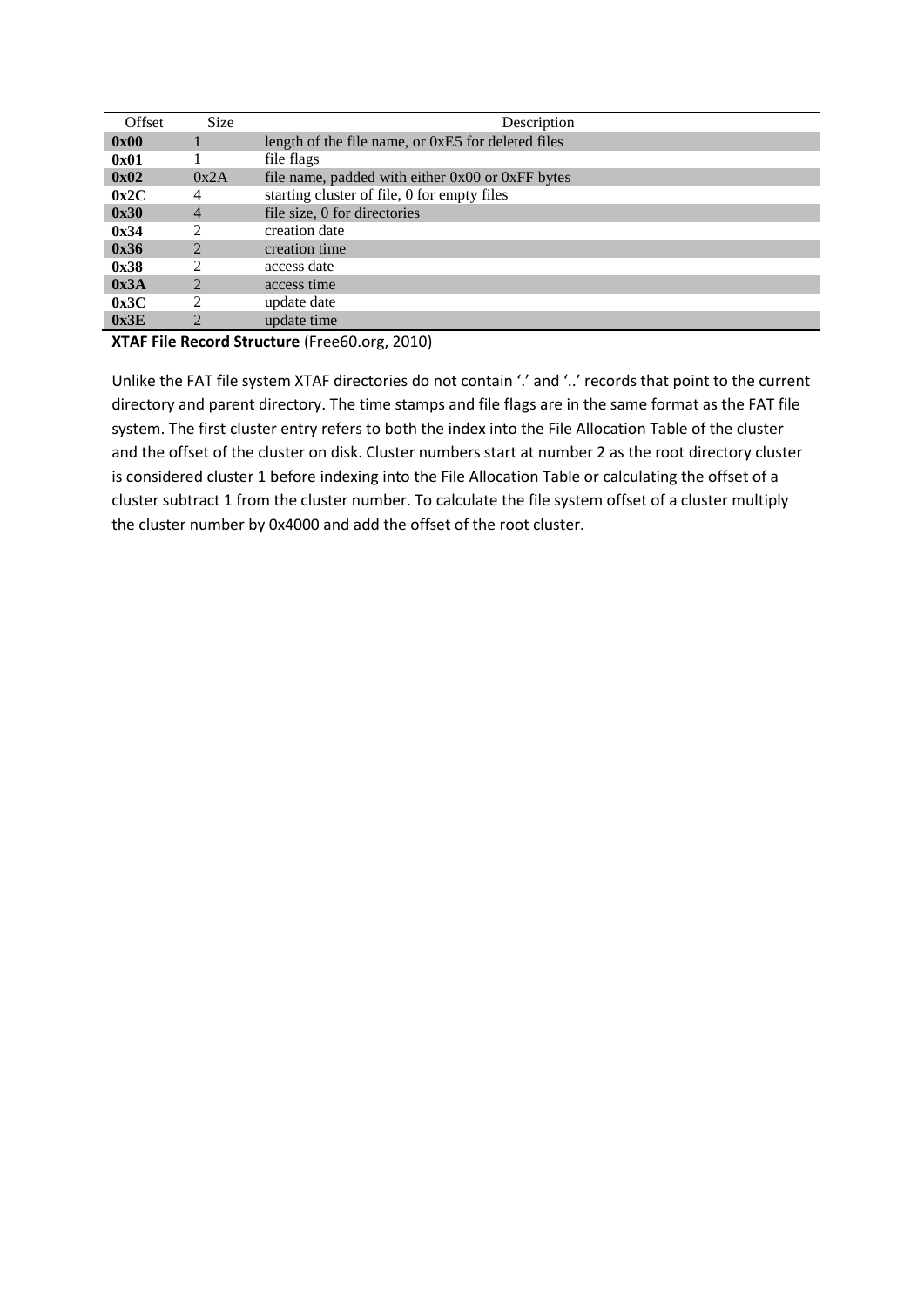| Offset | <b>Size</b>                 | Description                                        |
|--------|-----------------------------|----------------------------------------------------|
| 0x00   |                             | length of the file name, or 0xE5 for deleted files |
| 0x01   |                             | file flags                                         |
| 0x02   | 0x2A                        | file name, padded with either 0x00 or 0xFF bytes   |
| 0x2C   | 4                           | starting cluster of file, 0 for empty files        |
| 0x30   | $\overline{4}$              | file size, 0 for directories                       |
| 0x34   | $\mathfrak{D}$              | creation date                                      |
| 0x36   | $\mathfrak{D}$              | creation time                                      |
| 0x38   | $\mathfrak{D}$              | access date                                        |
| 0x3A   | $\mathcal{D}_{\mathcal{L}}$ | access time                                        |
| 0x3C   | $\mathfrak{D}$              | update date                                        |
| 0x3E   | ◠                           | update time                                        |

**XTAF File Record Structure** (Free60.org, 2010)

Unlike the FAT file system XTAF directories do not contain '.' and '..' records that point to the current directory and parent directory. The time stamps and file flags are in the same format as the FAT file system. The first cluster entry refers to both the index into the File Allocation Table of the cluster and the offset of the cluster on disk. Cluster numbers start at number 2 as the root directory cluster is considered cluster 1 before indexing into the File Allocation Table or calculating the offset of a cluster subtract 1 from the cluster number. To calculate the file system offset of a cluster multiply the cluster number by 0x4000 and add the offset of the root cluster.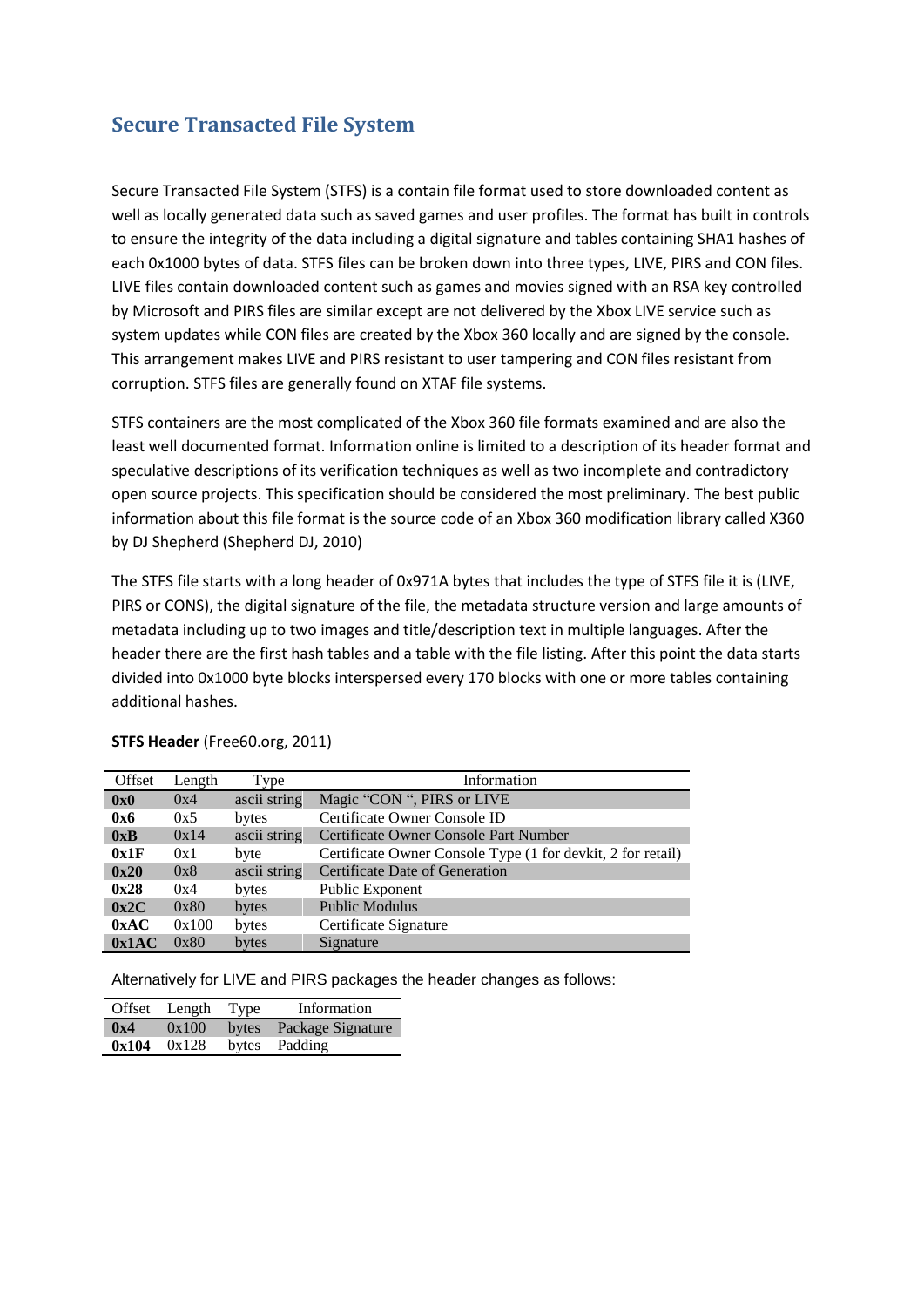## <span id="page-3-0"></span>**Secure Transacted File System**

Secure Transacted File System (STFS) is a contain file format used to store downloaded content as well as locally generated data such as saved games and user profiles. The format has built in controls to ensure the integrity of the data including a digital signature and tables containing SHA1 hashes of each 0x1000 bytes of data. STFS files can be broken down into three types, LIVE, PIRS and CON files. LIVE files contain downloaded content such as games and movies signed with an RSA key controlled by Microsoft and PIRS files are similar except are not delivered by the Xbox LIVE service such as system updates while CON files are created by the Xbox 360 locally and are signed by the console. This arrangement makes LIVE and PIRS resistant to user tampering and CON files resistant from corruption. STFS files are generally found on XTAF file systems.

STFS containers are the most complicated of the Xbox 360 file formats examined and are also the least well documented format. Information online is limited to a description of its header format and speculative descriptions of its verification techniques as well as two incomplete and contradictory open source projects. This specification should be considered the most preliminary. The best public information about this file format is the source code of an Xbox 360 modification library called X360 by DJ Shepherd (Shepherd DJ, 2010)

The STFS file starts with a long header of 0x971A bytes that includes the type of STFS file it is (LIVE, PIRS or CONS), the digital signature of the file, the metadata structure version and large amounts of metadata including up to two images and title/description text in multiple languages. After the header there are the first hash tables and a table with the file listing. After this point the data starts divided into 0x1000 byte blocks interspersed every 170 blocks with one or more tables containing additional hashes.

| Offset | Length | Type         | Information                                                 |
|--------|--------|--------------|-------------------------------------------------------------|
| 0x0    | 0x4    | ascii string | Magic "CON ", PIRS or LIVE                                  |
| 0x6    | 0x5    | bytes        | Certificate Owner Console ID                                |
| 0xB    | 0x14   | ascii string | Certificate Owner Console Part Number                       |
| 0x1F   | 0x1    | byte         | Certificate Owner Console Type (1 for devkit, 2 for retail) |
| 0x20   | 0x8    | ascii string | Certificate Date of Generation                              |
| 0x28   | 0x4    | bytes        | Public Exponent                                             |
| 0x2C   | 0x80   | bytes        | <b>Public Modulus</b>                                       |
| 0xAC   | 0x100  | bytes        | Certificate Signature                                       |
| 0x1AC  | 0x80   | bytes        | Signature                                                   |

#### **STFS Header** (Free60.org, 2011)

Alternatively for LIVE and PIRS packages the header changes as follows:

|     | Offset Length Type | Information             |
|-----|--------------------|-------------------------|
| 0x4 | 0x100              | bytes Package Signature |
|     | $0x104$ $0x128$    | bytes Padding           |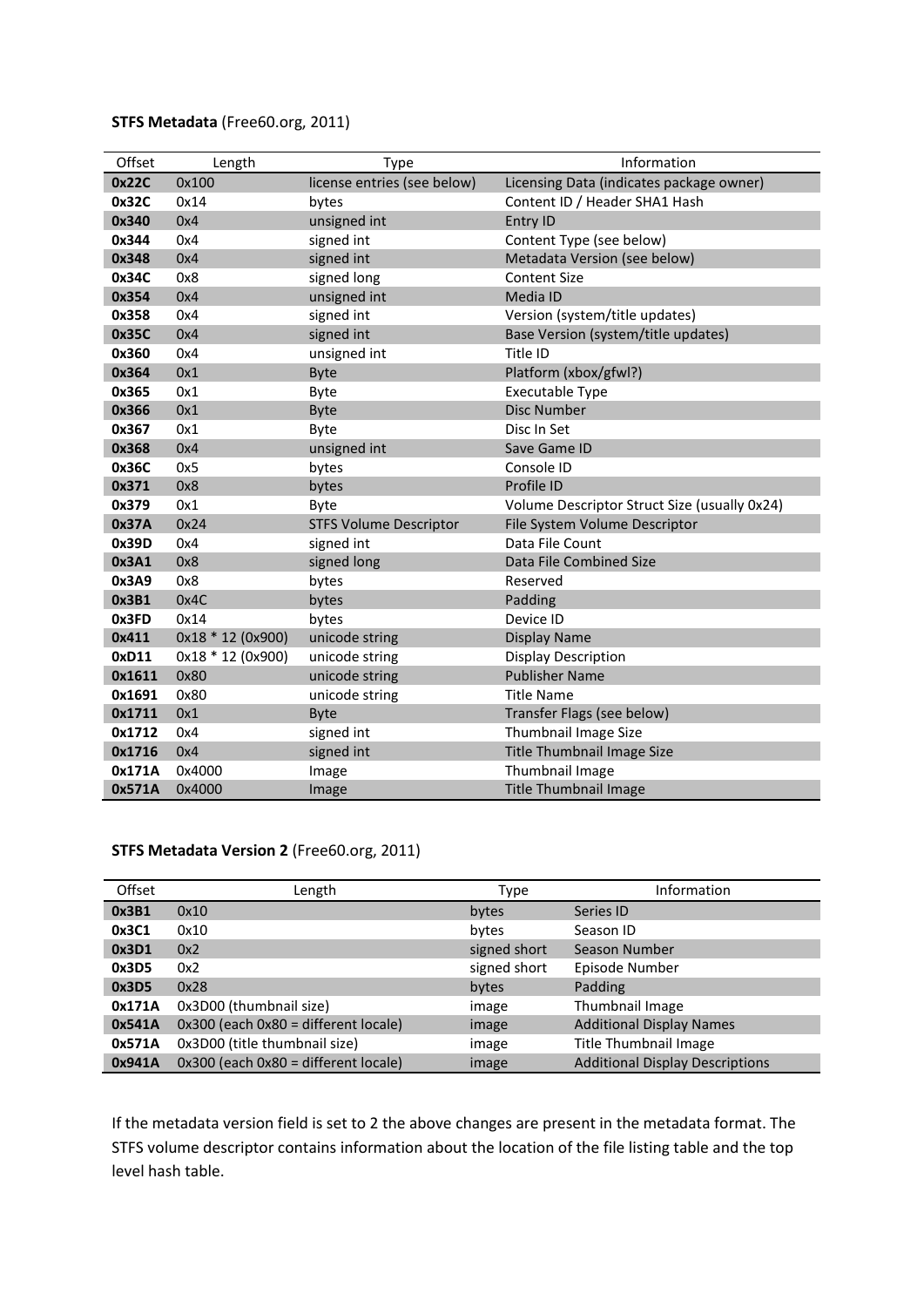| Offset | Length            | Type                          | Information                                  |
|--------|-------------------|-------------------------------|----------------------------------------------|
| 0x22C  | 0x100             | license entries (see below)   | Licensing Data (indicates package owner)     |
| 0x32C  | 0x14              | bytes                         | Content ID / Header SHA1 Hash                |
| 0x340  | 0x4               | unsigned int                  | Entry ID                                     |
| 0x344  | 0x4               | signed int                    | Content Type (see below)                     |
| 0x348  | 0x4               | signed int                    | Metadata Version (see below)                 |
| 0x34C  | 0x8               | signed long                   | <b>Content Size</b>                          |
| 0x354  | 0x4               | unsigned int                  | Media ID                                     |
| 0x358  | 0x4               | signed int                    | Version (system/title updates)               |
| 0x35C  | 0x4               | signed int                    | Base Version (system/title updates)          |
| 0x360  | 0x4               | unsigned int                  | Title ID                                     |
| 0x364  | 0x1               | Byte                          | Platform (xbox/gfwl?)                        |
| 0x365  | 0x1               | Byte                          | <b>Executable Type</b>                       |
| 0x366  | 0x1               | <b>Byte</b>                   | <b>Disc Number</b>                           |
| 0x367  | 0x1               | Byte                          | Disc In Set                                  |
| 0x368  | 0x4               | unsigned int                  | Save Game ID                                 |
| 0x36C  | 0x5               | bytes                         | Console ID                                   |
| 0x371  | 0x8               | bytes                         | Profile ID                                   |
| 0x379  | 0x1               | Byte                          | Volume Descriptor Struct Size (usually 0x24) |
| 0x37A  | 0x24              | <b>STFS Volume Descriptor</b> | File System Volume Descriptor                |
| 0x39D  | 0x4               | signed int                    | Data File Count                              |
| 0x3A1  | 0x8               | signed long                   | Data File Combined Size                      |
| 0x3A9  | 0x8               | bytes                         | Reserved                                     |
| 0x3B1  | 0x4C              | bytes                         | Padding                                      |
| 0x3FD  | 0x14              | bytes                         | Device ID                                    |
| 0x411  | 0x18 * 12 (0x900) | unicode string                | Display Name                                 |
| 0xD11  | 0x18 * 12 (0x900) | unicode string                | <b>Display Description</b>                   |
| 0x1611 | 0x80              | unicode string                | <b>Publisher Name</b>                        |
| 0x1691 | 0x80              | unicode string                | <b>Title Name</b>                            |
| 0x1711 | 0x1               | <b>Byte</b>                   | Transfer Flags (see below)                   |
| 0x1712 | 0x4               | signed int                    | Thumbnail Image Size                         |
| 0x1716 | 0x4               | signed int                    | Title Thumbnail Image Size                   |
| 0x171A | 0x4000            | Image                         | Thumbnail Image                              |
| 0x571A | 0x4000            | Image                         | <b>Title Thumbnail Image</b>                 |

#### **STFS Metadata** (Free60.org, 2011)

## **STFS Metadata Version 2** (Free60.org, 2011)

| Offset | Length                                   | Type         | Information                            |
|--------|------------------------------------------|--------------|----------------------------------------|
| 0x3B1  | 0x10                                     | bytes        | Series ID                              |
| 0x3C1  | 0x10                                     | bytes        | Season ID                              |
| 0x3D1  | 0x2                                      | signed short | Season Number                          |
| 0x3D5  | 0x2                                      | signed short | Episode Number                         |
| 0x3D5  | 0x28                                     | bytes        | Padding                                |
| 0x171A | 0x3D00 (thumbnail size)                  | image        | Thumbnail Image                        |
| 0x541A | $0x300$ (each $0x80 =$ different locale) | image        | <b>Additional Display Names</b>        |
| 0x571A | 0x3D00 (title thumbnail size)            | image        | <b>Title Thumbnail Image</b>           |
| 0x941A | $0x300$ (each $0x80 =$ different locale) | image        | <b>Additional Display Descriptions</b> |

If the metadata version field is set to 2 the above changes are present in the metadata format. The STFS volume descriptor contains information about the location of the file listing table and the top level hash table.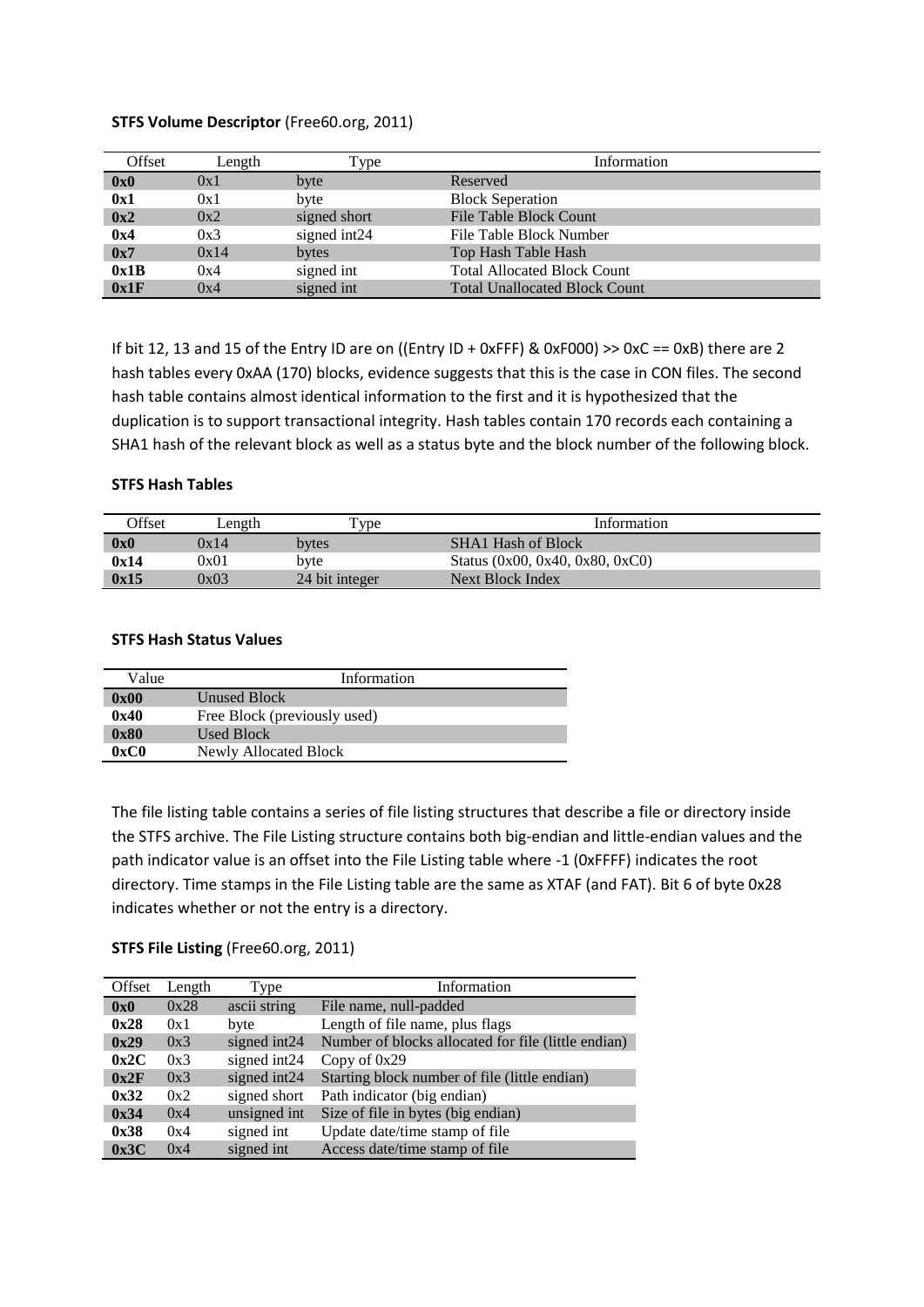| Offset | Length | Type         | Information                          |
|--------|--------|--------------|--------------------------------------|
| 0x0    | 0x1    | byte         | Reserved                             |
| 0x1    | 0x1    | byte         | <b>Block Seperation</b>              |
| 0x2    | 0x2    | signed short | File Table Block Count               |
| 0x4    | 0x3    | signed int24 | File Table Block Number              |
| 0x7    | 0x14   | bytes        | Top Hash Table Hash                  |
| 0x1B   | 0x4    | signed int   | <b>Total Allocated Block Count</b>   |
| 0x1F   | 0x4    | signed int   | <b>Total Unallocated Block Count</b> |

#### **STFS Volume Descriptor** (Free60.org, 2011)

If bit 12, 13 and 15 of the Entry ID are on ((Entry ID + 0xFFF) & 0xF000) >> 0xC == 0xB) there are 2 hash tables every 0xAA (170) blocks, evidence suggests that this is the case in CON files. The second hash table contains almost identical information to the first and it is hypothesized that the duplication is to support transactional integrity. Hash tables contain 170 records each containing a SHA1 hash of the relevant block as well as a status byte and the block number of the following block.

#### **STFS Hash Tables**

| <b>Offset</b> | ∟ength | $TV$ pe        | Information                       |
|---------------|--------|----------------|-----------------------------------|
| 0x0           | 0x14   | bytes          | <b>SHA1 Hash of Block</b>         |
| 0x14          | 0x01   | byte           | Status $(0x00, 0x40, 0x80, 0xC0)$ |
| 0x15          | 0x03   | 24 bit integer | Next Block Index                  |

#### **STFS Hash Status Values**

| Value | Information                  |
|-------|------------------------------|
| 0x00  | <b>Unused Block</b>          |
| 0x40  | Free Block (previously used) |
| 0x80  | <b>Used Block</b>            |
| 0xC0  | Newly Allocated Block        |

The file listing table contains a series of file listing structures that describe a file or directory inside the STFS archive. The File Listing structure contains both big-endian and little-endian values and the path indicator value is an offset into the File Listing table where -1 (0xFFFF) indicates the root directory. Time stamps in the File Listing table are the same as XTAF (and FAT). Bit 6 of byte 0x28 indicates whether or not the entry is a directory.

#### **STFS File Listing** (Free60.org, 2011)

| Offset | Length | Type         | Information                                         |
|--------|--------|--------------|-----------------------------------------------------|
| 0x0    | 0x28   | ascii string | File name, null-padded                              |
| 0x28   | 0x1    | byte         | Length of file name, plus flags                     |
| 0x29   | 0x3    | signed int24 | Number of blocks allocated for file (little endian) |
| 0x2C   | 0x3    | signed int24 | Copy of $0x29$                                      |
| 0x2F   | 0x3    | signed int24 | Starting block number of file (little endian)       |
| 0x32   | 0x2    | signed short | Path indicator (big endian)                         |
| 0x34   | 0x4    | unsigned int | Size of file in bytes (big endian)                  |
| 0x38   | 0x4    | signed int   | Update date/time stamp of file                      |
| 0x3C   | 0x4    | signed int   | Access date/time stamp of file                      |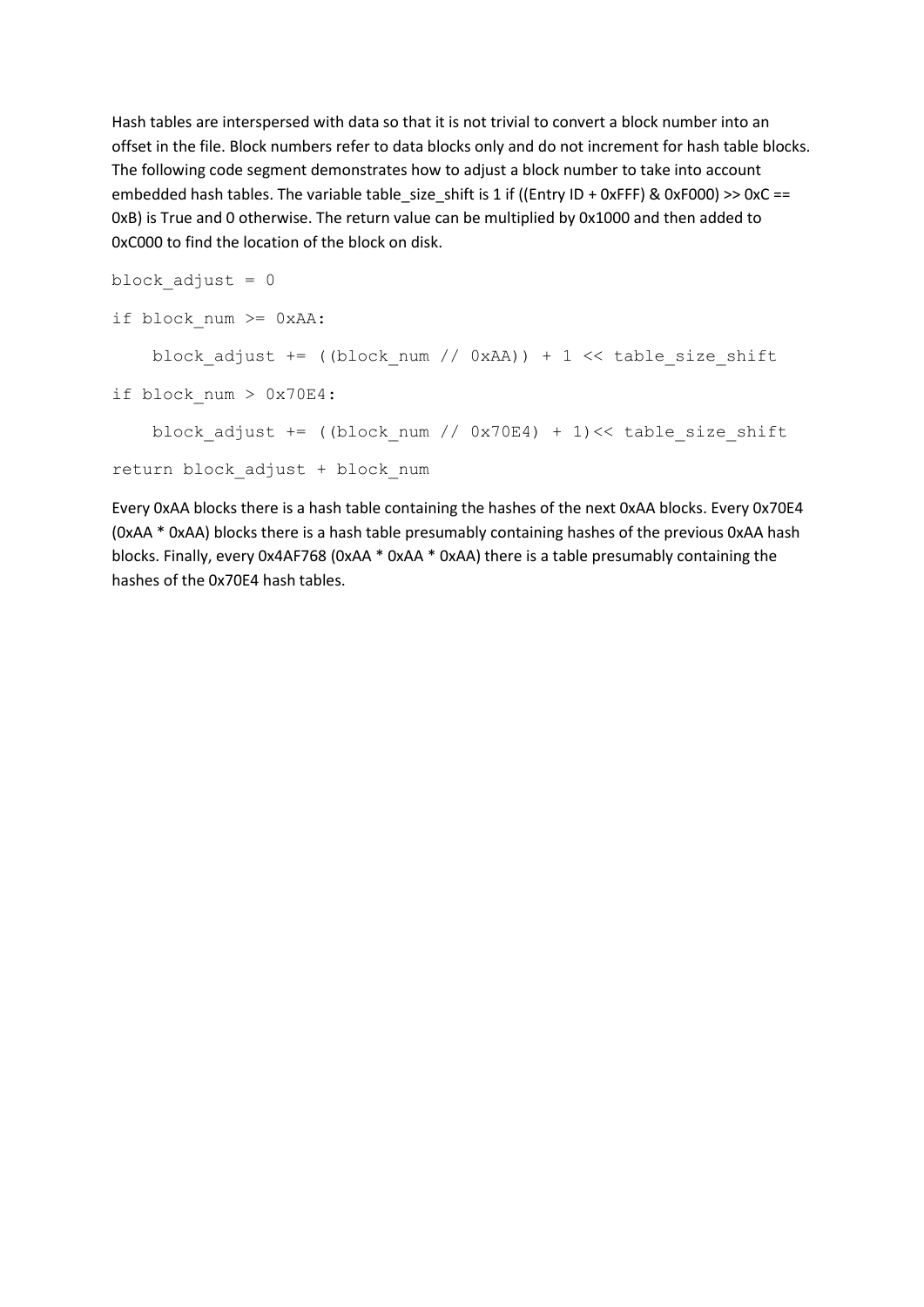Hash tables are interspersed with data so that it is not trivial to convert a block number into an offset in the file. Block numbers refer to data blocks only and do not increment for hash table blocks. The following code segment demonstrates how to adjust a block number to take into account embedded hash tables. The variable table\_size\_shift is 1 if ((Entry ID + 0xFFF) & 0xF000) >> 0xC == 0xB) is True and 0 otherwise. The return value can be multiplied by 0x1000 and then added to 0xC000 to find the location of the block on disk.

```
block \alphadjust = 0
if block_num >= 0xAA:
    block adjust += ((block num // 0xAA)) + 1 << table size shift
if block_num > 0x70E4:
    block adjust += ((block num // 0x70E4) + 1) << table size shift
return block_adjust + block_num
```
Every 0xAA blocks there is a hash table containing the hashes of the next 0xAA blocks. Every 0x70E4 (0xAA \* 0xAA) blocks there is a hash table presumably containing hashes of the previous 0xAA hash blocks. Finally, every 0x4AF768 (0xAA \* 0xAA \* 0xAA) there is a table presumably containing the hashes of the 0x70E4 hash tables.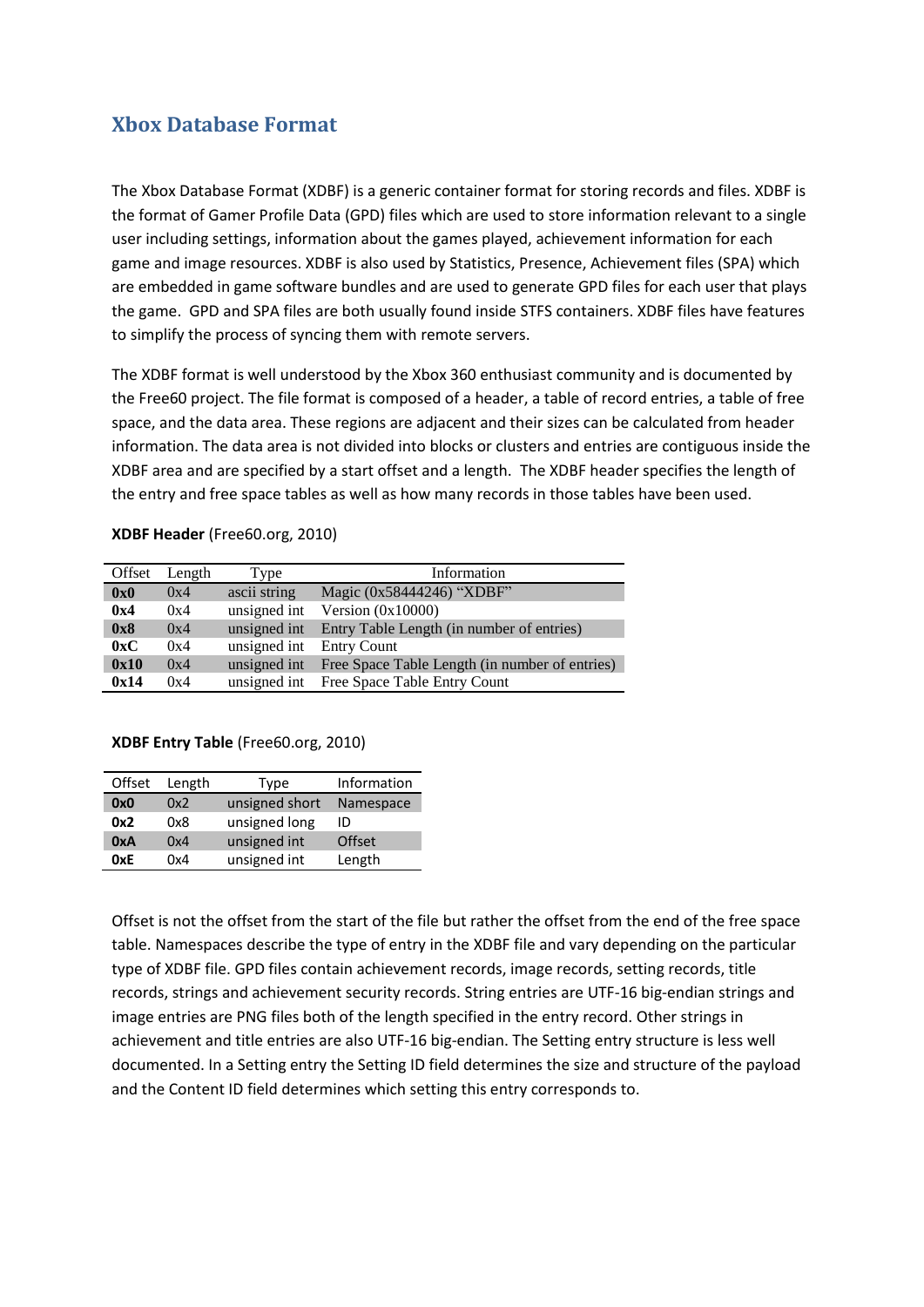## <span id="page-7-0"></span>**Xbox Database Format**

The Xbox Database Format (XDBF) is a generic container format for storing records and files. XDBF is the format of Gamer Profile Data (GPD) files which are used to store information relevant to a single user including settings, information about the games played, achievement information for each game and image resources. XDBF is also used by Statistics, Presence, Achievement files (SPA) which are embedded in game software bundles and are used to generate GPD files for each user that plays the game. GPD and SPA files are both usually found inside STFS containers. XDBF files have features to simplify the process of syncing them with remote servers.

The XDBF format is well understood by the Xbox 360 enthusiast community and is documented by the Free60 project. The file format is composed of a header, a table of record entries, a table of free space, and the data area. These regions are adjacent and their sizes can be calculated from header information. The data area is not divided into blocks or clusters and entries are contiguous inside the XDBF area and are specified by a start offset and a length. The XDBF header specifies the length of the entry and free space tables as well as how many records in those tables have been used.

| Offset | Length | Type         | Information                                    |
|--------|--------|--------------|------------------------------------------------|
| 0x0    | 0x4    | ascii string | Magic (0x58444246) "XDBF"                      |
| 0x4    | 0x4    | unsigned int | Version $(0x10000)$                            |
| 0x8    | 0x4    | unsigned int | Entry Table Length (in number of entries)      |
| 0xC    | 0x4    | unsigned int | <b>Entry Count</b>                             |
| 0x10   | 0x4    | unsigned int | Free Space Table Length (in number of entries) |
| 0x14   | 0x4    |              | unsigned int Free Space Table Entry Count      |

#### **XDBF Header** (Free60.org, 2010)

#### **XDBF Entry Table** (Free60.org, 2010)

| Offset | Length | Type           | Information |
|--------|--------|----------------|-------------|
| 0x0    | 0x2    | unsigned short | Namespace   |
| 0x2    | 0x8    | unsigned long  | ID          |
| 0xA    | 0x4    | unsigned int   | Offset      |
| 0xF    | 0x4    | unsigned int   | Length      |

Offset is not the offset from the start of the file but rather the offset from the end of the free space table. Namespaces describe the type of entry in the XDBF file and vary depending on the particular type of XDBF file. GPD files contain achievement records, image records, setting records, title records, strings and achievement security records. String entries are UTF-16 big-endian strings and image entries are PNG files both of the length specified in the entry record. Other strings in achievement and title entries are also UTF-16 big-endian. The Setting entry structure is less well documented. In a Setting entry the Setting ID field determines the size and structure of the payload and the Content ID field determines which setting this entry corresponds to.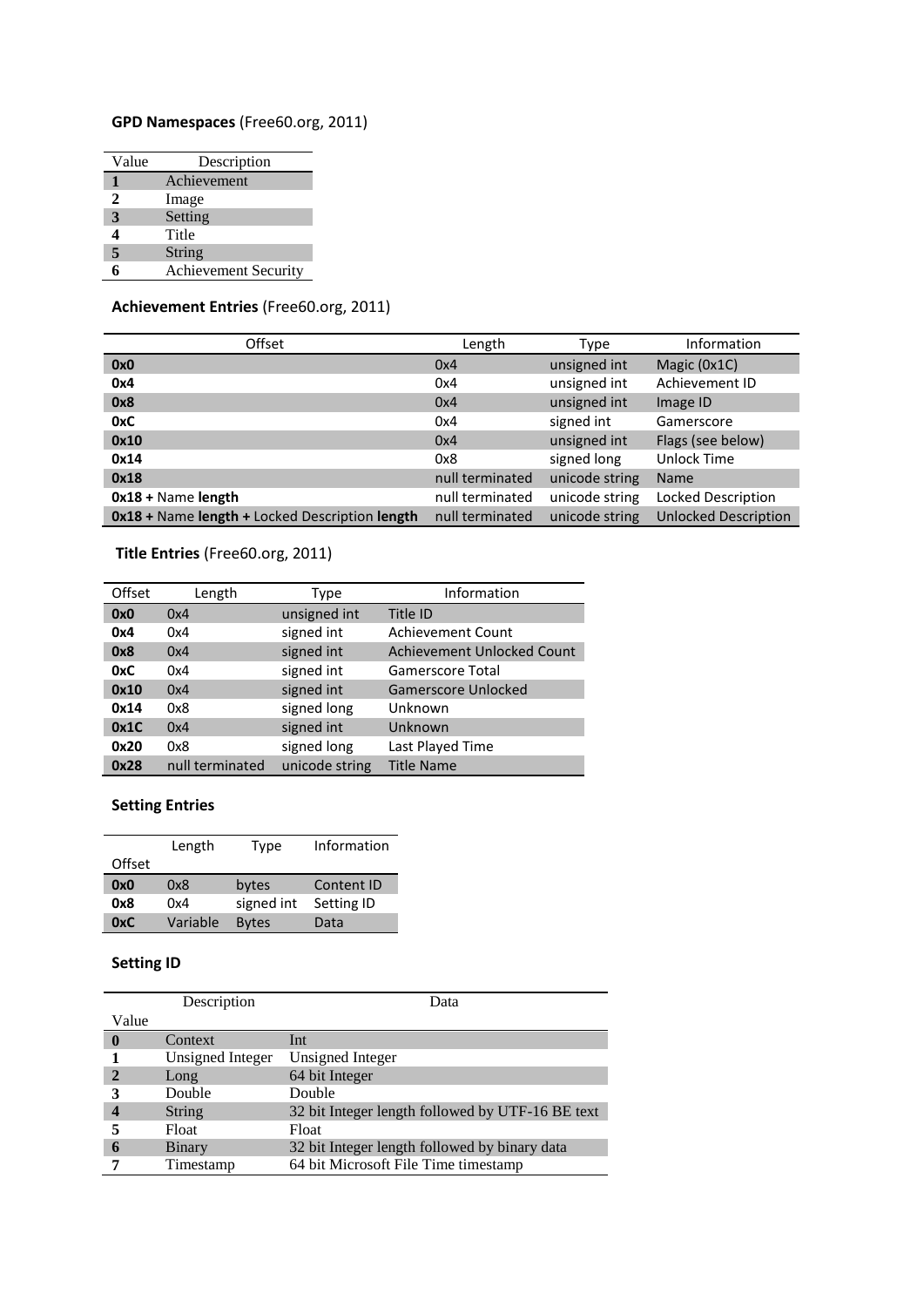## **GPD Namespaces** (Free60.org, 2011)

| Value | Description                 |
|-------|-----------------------------|
| 1     | Achievement                 |
| 2     | Image                       |
| 3     | Setting                     |
| 4     | Title                       |
| 5     | String                      |
| ĸ     | <b>Achievement Security</b> |

## **Achievement Entries** (Free60.org, 2011)

| Offset                                                | Length          | Type           | Information                 |
|-------------------------------------------------------|-----------------|----------------|-----------------------------|
| 0x0                                                   | 0x4             | unsigned int   | Magic (0x1C)                |
| 0x4                                                   | 0x4             | unsigned int   | Achievement ID              |
| 0x8                                                   | 0x4             | unsigned int   | Image ID                    |
| 0xC                                                   | 0x4             | signed int     | Gamerscore                  |
| 0x10                                                  | 0x4             | unsigned int   | Flags (see below)           |
| 0x14                                                  | 0x8             | signed long    | <b>Unlock Time</b>          |
| 0x18                                                  | null terminated | unicode string | <b>Name</b>                 |
| $0x18 +$ Name length                                  | null terminated | unicode string | <b>Locked Description</b>   |
| <b>0x18 + Name length + Locked Description length</b> | null terminated | unicode string | <b>Unlocked Description</b> |

## **Title Entries** (Free60.org, 2011)

| Offset | Length          | Type           | Information                |
|--------|-----------------|----------------|----------------------------|
| 0x0    | 0x4             | unsigned int   | Title ID                   |
| 0x4    | 0x4             | signed int     | <b>Achievement Count</b>   |
| 0x8    | 0x4             | signed int     | Achievement Unlocked Count |
| 0xC    | 0x4             | signed int     | <b>Gamerscore Total</b>    |
| 0x10   | 0x4             | signed int     | Gamerscore Unlocked        |
| 0x14   | 0x8             | signed long    | Unknown                    |
| 0x1C   | 0x4             | signed int     | Unknown                    |
| 0x20   | 0x8             | signed long    | Last Played Time           |
| 0x28   | null terminated | unicode string | <b>Title Name</b>          |

## **Setting Entries**

|        | Length   | Type         | Information |
|--------|----------|--------------|-------------|
| Offset |          |              |             |
| 0x0    | 0x8      | bytes        | Content ID  |
| 0x8    | 0x4      | signed int   | Setting ID  |
| 0xC    | Variable | <b>Bytes</b> | Data        |

## **Setting ID**

|              | Description      | Data                                             |
|--------------|------------------|--------------------------------------------------|
| Value        |                  |                                                  |
| $\mathbf{0}$ | Context          | Int                                              |
|              | Unsigned Integer | Unsigned Integer                                 |
| $\mathbf{2}$ | Long             | 64 bit Integer                                   |
|              | Double           | Double                                           |
|              | <b>String</b>    | 32 bit Integer length followed by UTF-16 BE text |
|              | Float            | Float                                            |
| 6            | Binary           | 32 bit Integer length followed by binary data    |
|              | Timestamp        | 64 bit Microsoft File Time timestamp             |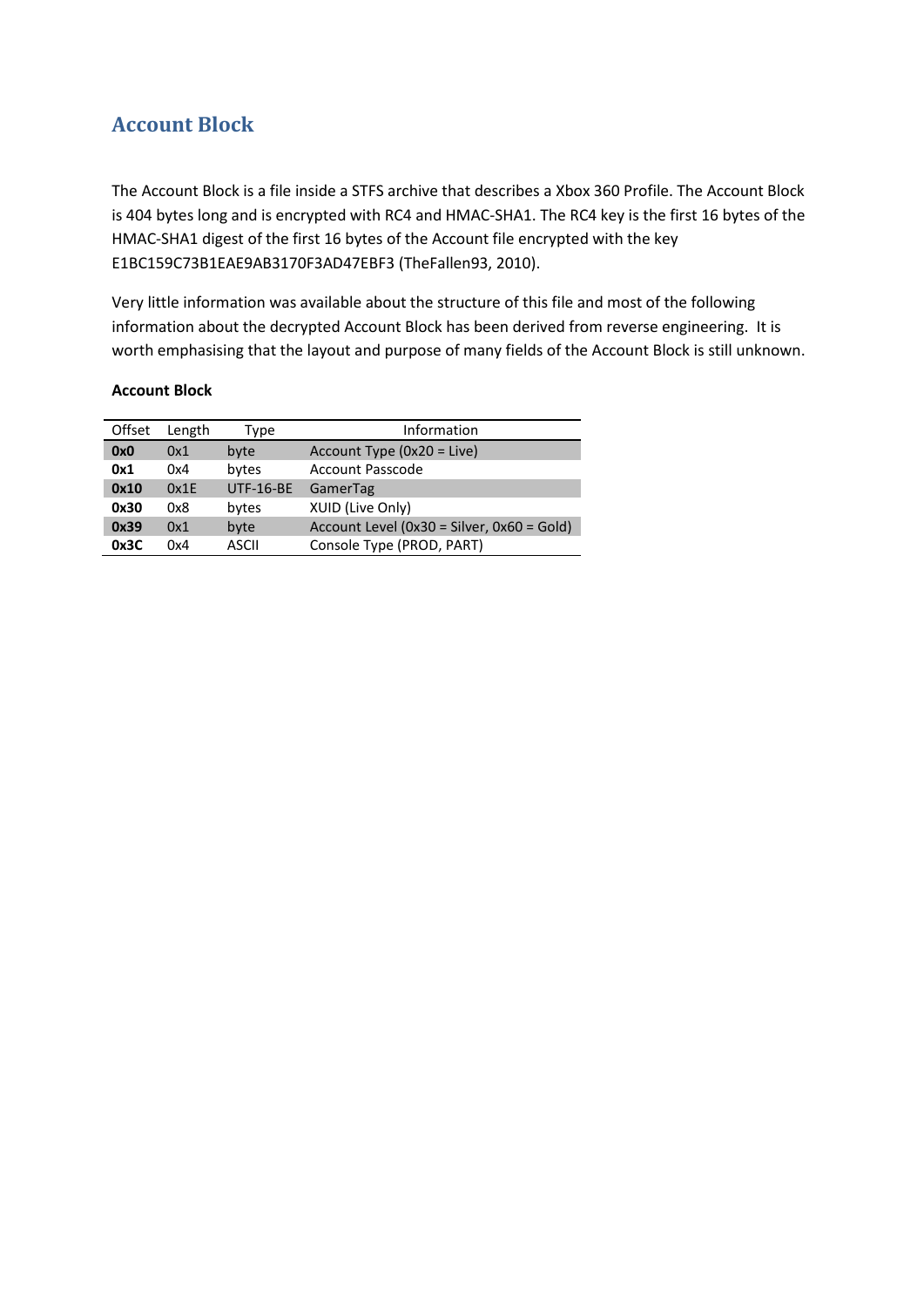## <span id="page-9-0"></span>**Account Block**

The Account Block is a file inside a STFS archive that describes a Xbox 360 Profile. The Account Block is 404 bytes long and is encrypted with RC4 and HMAC-SHA1. The RC4 key is the first 16 bytes of the HMAC-SHA1 digest of the first 16 bytes of the Account file encrypted with the key E1BC159C73B1EAE9AB3170F3AD47EBF3 (TheFallen93, 2010).

Very little information was available about the structure of this file and most of the following information about the decrypted Account Block has been derived from reverse engineering. It is worth emphasising that the layout and purpose of many fields of the Account Block is still unknown.

#### **Account Block**

| Offset | Length | Type             | Information                                |
|--------|--------|------------------|--------------------------------------------|
| 0x0    | 0x1    | byte             | Account Type $(0x20 = Live)$               |
| 0x1    | 0x4    | bytes            | <b>Account Passcode</b>                    |
| 0x10   | 0x1F   | <b>UTF-16-BE</b> | GamerTag                                   |
| 0x30   | 0x8    | bytes            | XUID (Live Only)                           |
| 0x39   | 0x1    | byte             | Account Level (0x30 = Silver, 0x60 = Gold) |
| 0x3C   | 0x4    | ASCII            | Console Type (PROD, PART)                  |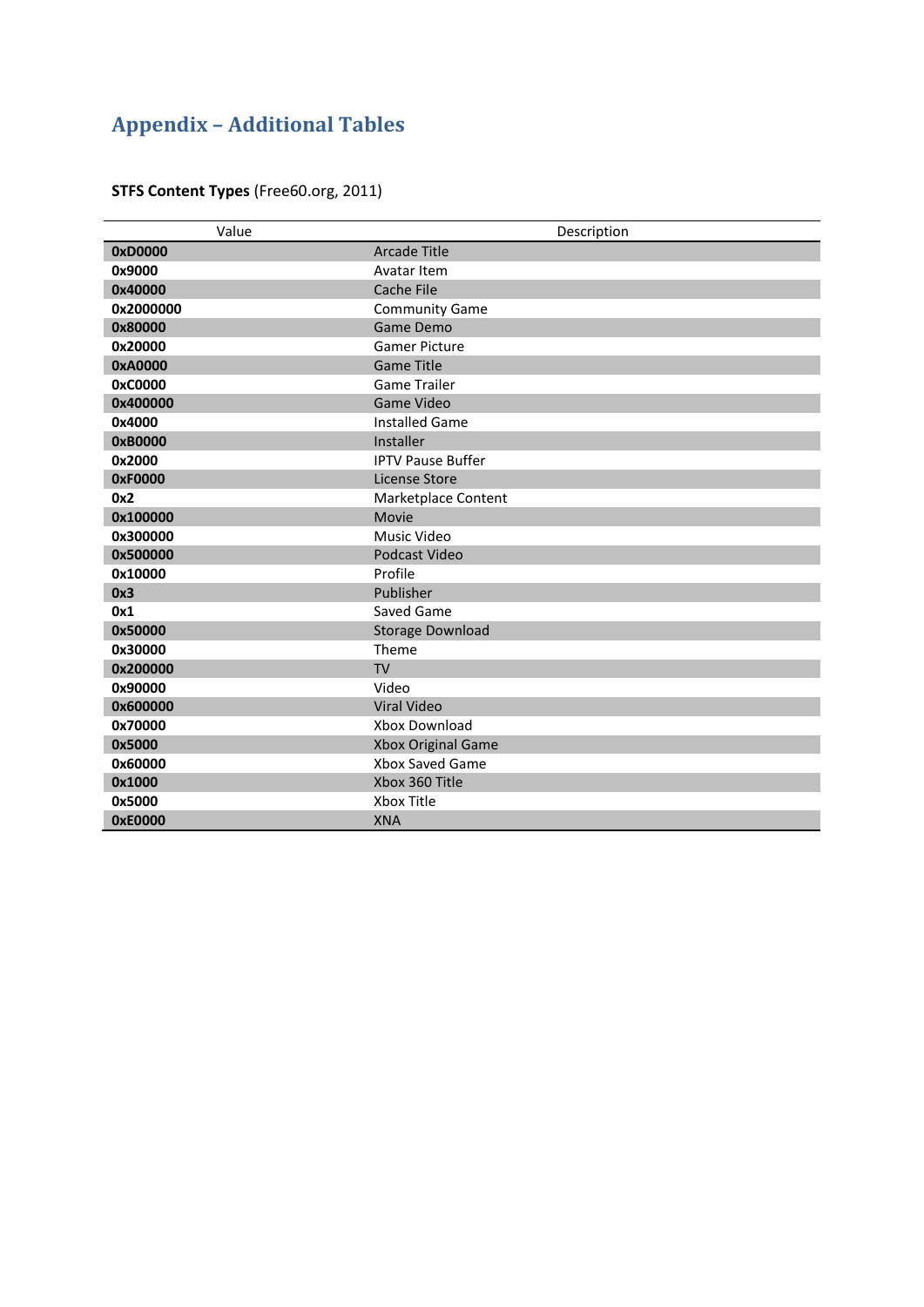## <span id="page-10-0"></span>**Appendix – Additional Tables**

| Value     | Description               |
|-----------|---------------------------|
| 0xD0000   | <b>Arcade Title</b>       |
| 0x9000    | Avatar Item               |
| 0x40000   | <b>Cache File</b>         |
| 0x2000000 | <b>Community Game</b>     |
| 0x80000   | <b>Game Demo</b>          |
| 0x20000   | <b>Gamer Picture</b>      |
| 0xA0000   | <b>Game Title</b>         |
| 0xC0000   | <b>Game Trailer</b>       |
| 0x400000  | <b>Game Video</b>         |
| 0x4000    | <b>Installed Game</b>     |
| 0xB0000   | Installer                 |
| 0x2000    | <b>IPTV Pause Buffer</b>  |
| 0xF0000   | <b>License Store</b>      |
| 0x2       | Marketplace Content       |
| 0x100000  | Movie                     |
| 0x300000  | Music Video               |
| 0x500000  | Podcast Video             |
| 0x10000   | Profile                   |
| 0x3       | Publisher                 |
| 0x1       | Saved Game                |
| 0x50000   | <b>Storage Download</b>   |
| 0x30000   | Theme                     |
| 0x200000  | <b>TV</b>                 |
| 0x90000   | Video                     |
| 0x600000  | <b>Viral Video</b>        |
| 0x70000   | Xbox Download             |
| 0x5000    | <b>Xbox Original Game</b> |
| 0x60000   | Xbox Saved Game           |
| 0x1000    | Xbox 360 Title            |
| 0x5000    | <b>Xbox Title</b>         |
| 0xE0000   | <b>XNA</b>                |

**STFS Content Types** (Free60.org, 2011)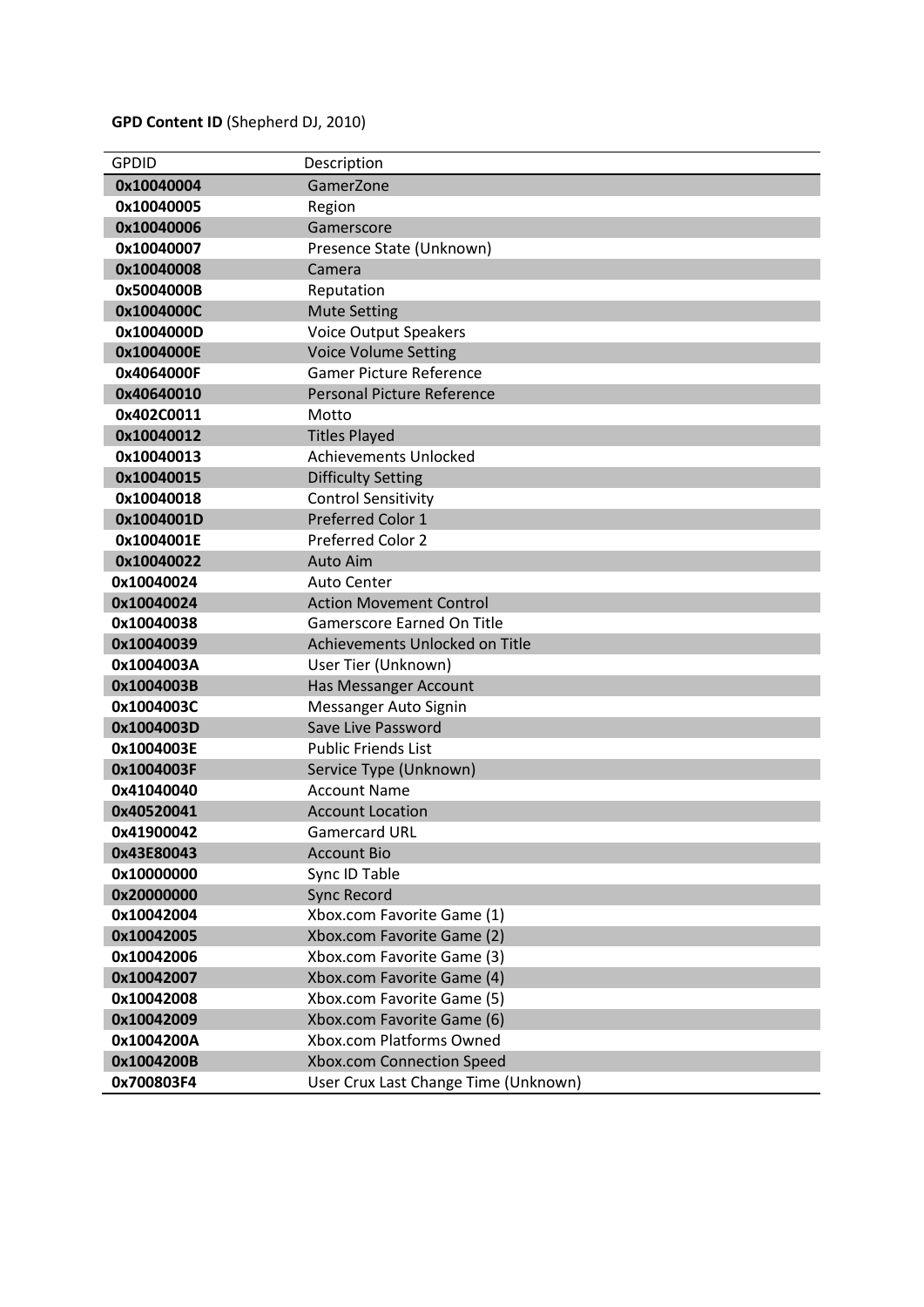## **GPD Content ID** (Shepherd DJ, 2010)

| <b>GPDID</b> | Description                          |
|--------------|--------------------------------------|
| 0x10040004   | GamerZone                            |
| 0x10040005   | Region                               |
| 0x10040006   | Gamerscore                           |
| 0x10040007   | Presence State (Unknown)             |
| 0x10040008   | Camera                               |
| 0x5004000B   | Reputation                           |
| 0x1004000C   | <b>Mute Setting</b>                  |
| 0x1004000D   | <b>Voice Output Speakers</b>         |
| 0x1004000E   | <b>Voice Volume Setting</b>          |
| 0x4064000F   | <b>Gamer Picture Reference</b>       |
| 0x40640010   | Personal Picture Reference           |
| 0x402C0011   | Motto                                |
| 0x10040012   | <b>Titles Played</b>                 |
| 0x10040013   | <b>Achievements Unlocked</b>         |
| 0x10040015   | <b>Difficulty Setting</b>            |
| 0x10040018   | <b>Control Sensitivity</b>           |
| 0x1004001D   | Preferred Color 1                    |
| 0x1004001E   | <b>Preferred Color 2</b>             |
| 0x10040022   | <b>Auto Aim</b>                      |
| 0x10040024   | <b>Auto Center</b>                   |
| 0x10040024   | <b>Action Movement Control</b>       |
| 0x10040038   | <b>Gamerscore Earned On Title</b>    |
| 0x10040039   | Achievements Unlocked on Title       |
| 0x1004003A   | User Tier (Unknown)                  |
| 0x1004003B   | Has Messanger Account                |
| 0x1004003C   | Messanger Auto Signin                |
| 0x1004003D   | Save Live Password                   |
| 0x1004003E   | <b>Public Friends List</b>           |
| 0x1004003F   | Service Type (Unknown)               |
| 0x41040040   | <b>Account Name</b>                  |
| 0x40520041   | <b>Account Location</b>              |
| 0x41900042   | <b>Gamercard URL</b>                 |
| 0x43E80043   | <b>Account Bio</b>                   |
| 0x10000000   | Sync ID Table                        |
| 0x20000000   | <b>Sync Record</b>                   |
| 0x10042004   | Xbox.com Favorite Game (1)           |
| 0x10042005   | Xbox.com Favorite Game (2)           |
| 0x10042006   | Xbox.com Favorite Game (3)           |
| 0x10042007   | Xbox.com Favorite Game (4)           |
| 0x10042008   | Xbox.com Favorite Game (5)           |
| 0x10042009   | Xbox.com Favorite Game (6)           |
| 0x1004200A   | Xbox.com Platforms Owned             |
| 0x1004200B   | Xbox.com Connection Speed            |
| 0x700803F4   | User Crux Last Change Time (Unknown) |